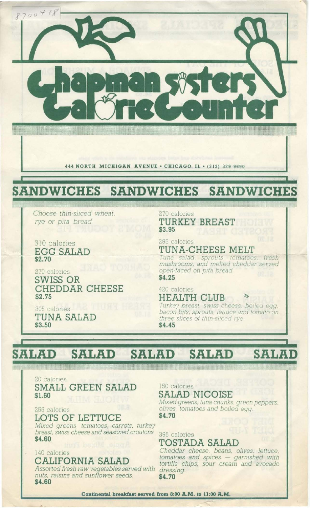

444 NORTH MICHIGAN AVENUE . CHICAGO, IL . (312) 329-9690

### **SANDWICHES** SANDWICHES SANDWICHES

Choose thin-sliced wheat, rye or pita bread

310 calories **EGG SALAD** \$2.70

305 calories

\$3.50

TUNA SALAD

270 calories SWISS OR CHEDDAR CHEESE \$2.75

270 calories TURKEY BREAST \$3.95

295 calories

TUNA-CHEESE MELT

Tuna salad, sprouts, tomatoes, fresh<br>mushrooms, and melted cheddar served open-faced on pita bread. \$4.25

420 calories **HEALTH CLUB** 

Turkey breast, swiss cheese, boiled egg, bacon bits, sprouts, lettuce and tomato on three slices of thin-sliced rye. \$4.45

### **SALAD SALAD SALAD SALAD SALAD**

20 calories SMALL GREEN SALAD \$1.60

255 calories

## LOTS OF LETTUCE

Mixed greens, tomatoes, carrots, turkey breast, swiss cheese and seasoned croutons. \$4.60

## 140 calories CALIFORNIA SALAD

Assorted fresh raw vegetables served with nuts, raisins and sunflower seeds. \$4.60

150 calories SALAD NICOISE

Mixed greens, tuna chunks, green peppers, olives, tomatoes and boiled egg. \$4.70

395 calories TOSTADA SALAD

Cheddar cheese, beans, olives, lettuce, tomatoes and spices - garnished with<br>tortilla chips, sour cream and avocado dressing. \$4.70

Continental breakfast served from 8:00 A.M. to 11:00 A.M.